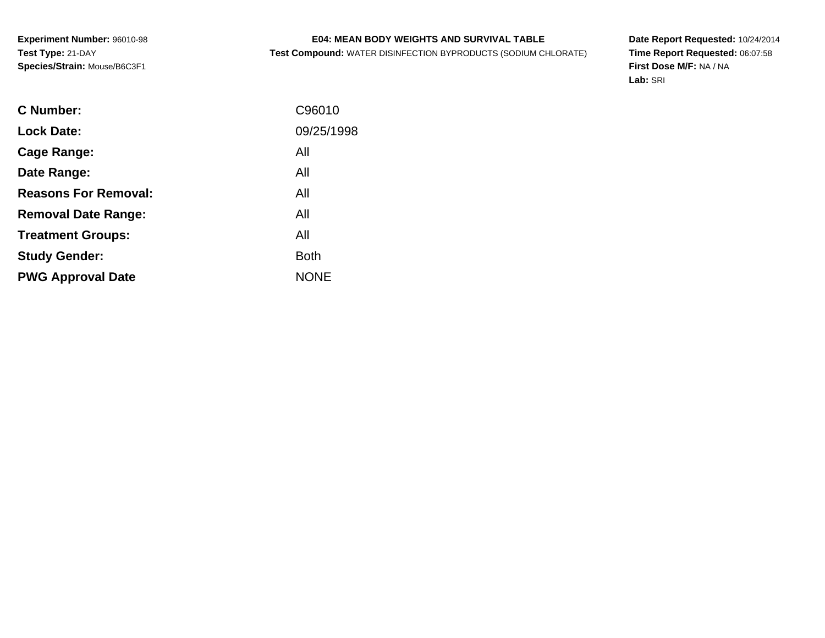# **E04: MEAN BODY WEIGHTS AND SURVIVAL TABLE**

**Test Compound:** WATER DISINFECTION BYPRODUCTS (SODIUM CHLORATE)

**Date Report Requested:** 10/24/2014 **Time Report Requested:** 06:07:58**First Dose M/F:** NA / NA**Lab:** SRI

| C96010      |
|-------------|
| 09/25/1998  |
| All         |
| All         |
| All         |
| All         |
| All         |
| <b>Both</b> |
| <b>NONE</b> |
|             |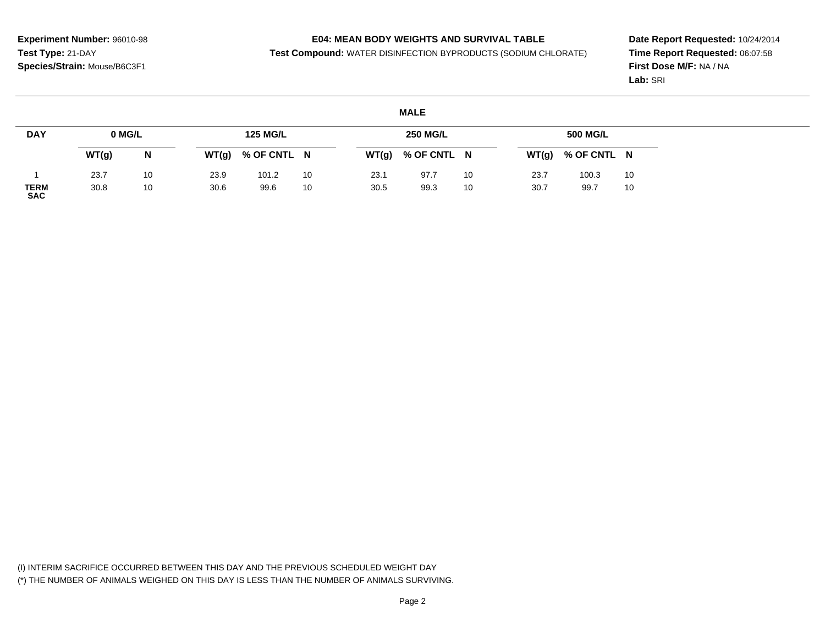### **E04: MEAN BODY WEIGHTS AND SURVIVAL TABLE**

**Test Compound:** WATER DISINFECTION BYPRODUCTS (SODIUM CHLORATE)

**Date Report Requested:** 10/24/2014**Time Report Requested:** 06:07:58**First Dose M/F:** NA / NA**Lab:** SRI

#### **MALEDAY**1 **TERM SAC0 MG/LWT(g) <sup>N</sup>**23.7 <sup>10</sup> 30.8 <sup>10</sup> **125 MG/LWT(g) % OF CNTL <sup>N</sup>**23.9101.2 10<br>99.6 10 30.699.6 **250 MG/LWT(g) % OF CNTL <sup>N</sup>**23.197.7 10<br>99.3 10 30.599.3 **500 MG/LWT(g) % OF CNTL <sup>N</sup>**23.7100.3 10<br>99.7 10 30.799.7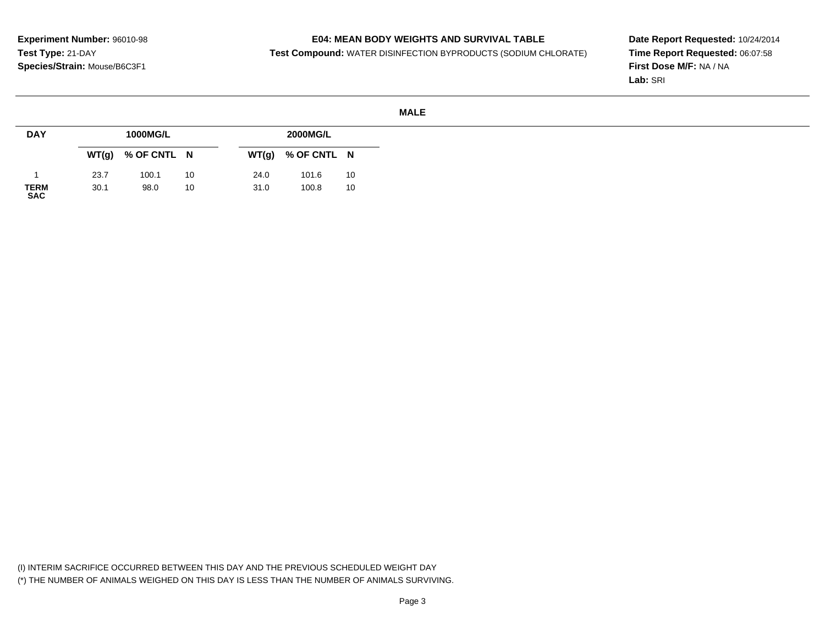### **E04: MEAN BODY WEIGHTS AND SURVIVAL TABLE**

**Test Compound:** WATER DISINFECTION BYPRODUCTS (SODIUM CHLORATE)

**Date Report Requested:** 10/24/2014**Time Report Requested:** 06:07:58**First Dose M/F:** NA / NA**Lab:** SRI

#### **MALE**

| <b>DAY</b>          |       | 1000MG/L    |    |       | <b>2000MG/L</b> |    |
|---------------------|-------|-------------|----|-------|-----------------|----|
|                     | WT(g) | % OF CNTL N |    | WT(g) | % OF CNTL N     |    |
|                     | 23.7  | 100.1       | 10 | 24.0  | 101.6           | 10 |
| <b>TERM<br/>SAC</b> | 30.1  | 98.0        | 10 | 31.0  | 100.8           | 10 |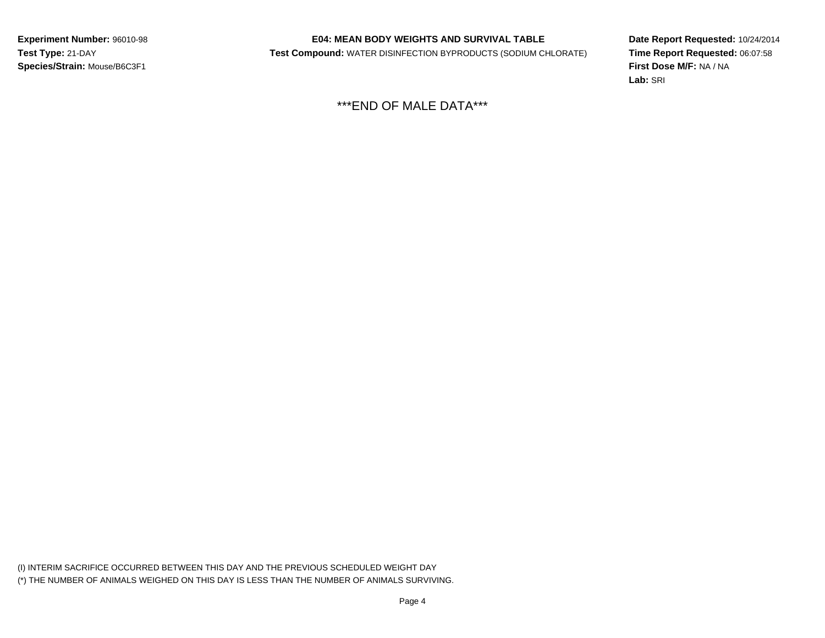# **E04: MEAN BODY WEIGHTS AND SURVIVAL TABLE**

**Test Compound:** WATER DISINFECTION BYPRODUCTS (SODIUM CHLORATE)

**Date Report Requested:** 10/24/2014**Time Report Requested:** 06:07:58**First Dose M/F:** NA / NA**Lab:** SRI

\*\*\*END OF MALE DATA\*\*\*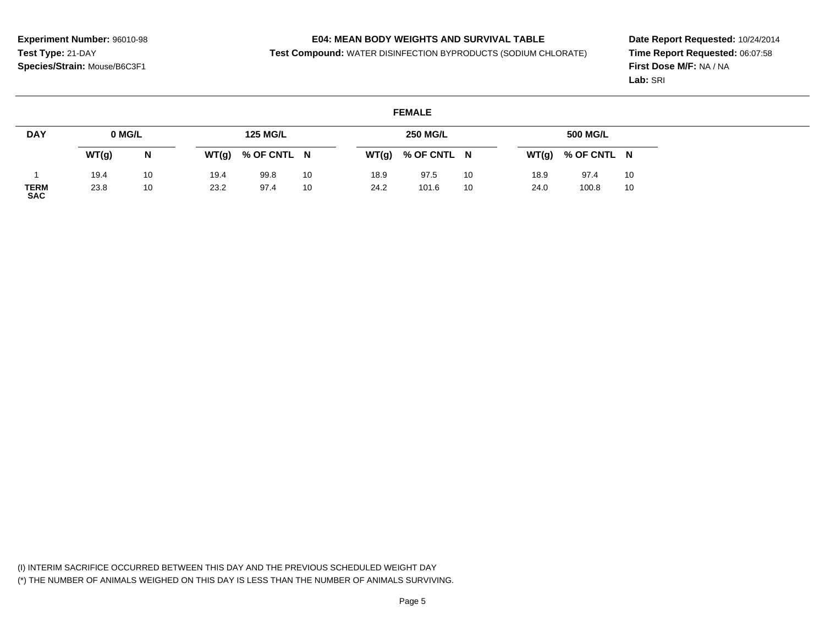### **E04: MEAN BODY WEIGHTS AND SURVIVAL TABLE**

**Test Compound:** WATER DISINFECTION BYPRODUCTS (SODIUM CHLORATE)

**Date Report Requested:** 10/24/2014**Time Report Requested:** 06:07:58**First Dose M/F:** NA / NA**Lab:** SRI

#### **FEMALEDAY**1 **TERM SAC0 MG/LWT(g) <sup>N</sup>**19.4 <sup>10</sup> 23.8 <sup>10</sup> **125 MG/LWT(g) % OF CNTL <sup>N</sup>**19.499.8 10<br>97.4 10 23.297.4 **250 MG/LWT(g) % OF CNTL <sup>N</sup>**18.997.5 10<br>101.6 10 24.2101.6 **500 MG/LWT(g) % OF CNTL <sup>N</sup>**18.997.4 10<br>100.8 10 24.0100.8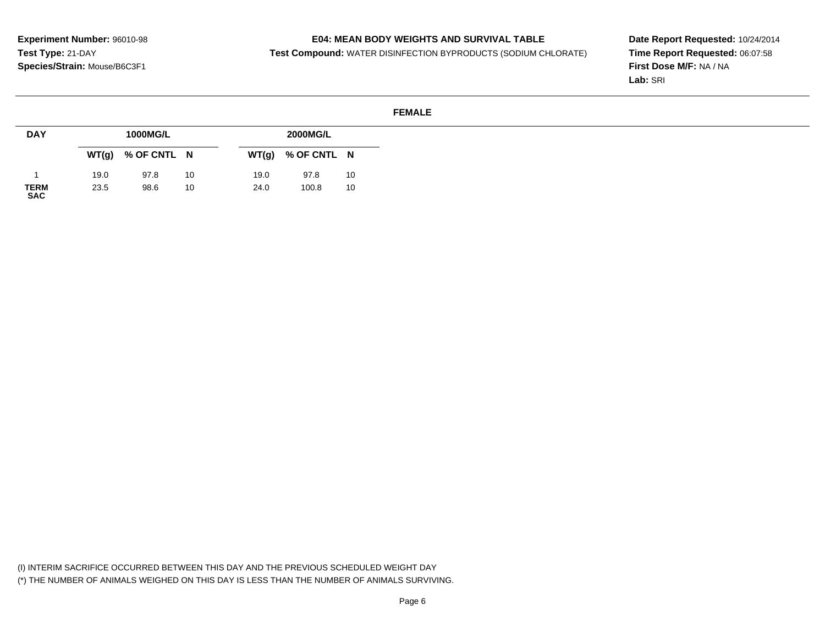### **E04: MEAN BODY WEIGHTS AND SURVIVAL TABLE**

**Test Compound:** WATER DISINFECTION BYPRODUCTS (SODIUM CHLORATE)

**Date Report Requested:** 10/24/2014**Time Report Requested:** 06:07:58**First Dose M/F:** NA / NA**Lab:** SRI

#### **FEMALE**

| <b>DAY</b>                | 1000MG/L |                     |    | <b>2000MG/L</b> |             |    |
|---------------------------|----------|---------------------|----|-----------------|-------------|----|
|                           |          | $WT(g)$ % OF CNTL N |    | WT(g)           | % OF CNTL N |    |
|                           | 19.0     | 97.8                | 10 | 19.0            | 97.8        | 10 |
| <b>TERM</b><br><b>SAC</b> | 23.5     | 98.6                | 10 | 24.0            | 100.8       | 10 |